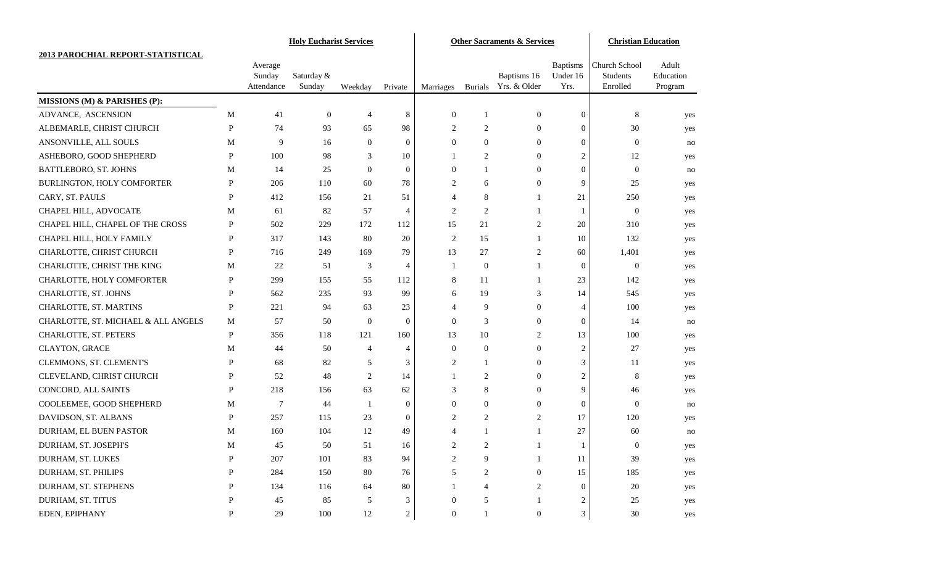|                                     |              |                      |                      | <b>Holy Eucharist Services</b> |                  | <b>Other Sacraments &amp; Services</b> |                |                             |                  | <b>Christian Education</b> |                    |
|-------------------------------------|--------------|----------------------|----------------------|--------------------------------|------------------|----------------------------------------|----------------|-----------------------------|------------------|----------------------------|--------------------|
| 2013 PAROCHIAL REPORT-STATISTICAL   |              |                      |                      |                                |                  |                                        |                |                             |                  |                            |                    |
|                                     |              | Average              |                      |                                |                  |                                        |                |                             | <b>Baptisms</b>  | Church School<br>Students  | Adult<br>Education |
|                                     |              | Sunday<br>Attendance | Saturday &<br>Sunday | Weekday                        | Private          | <b>Marriages</b>                       | <b>Burials</b> | Baptisms 16<br>Yrs. & Older | Under 16<br>Yrs. | Enrolled                   | Program            |
| MISSIONS (M) & PARISHES (P):        |              |                      |                      |                                |                  |                                        |                |                             |                  |                            |                    |
| ADVANCE, ASCENSION                  | M            | 41                   | $\boldsymbol{0}$     | $\overline{4}$                 | 8                | $\boldsymbol{0}$                       | 1              | $\boldsymbol{0}$            | $\mathbf{0}$     | 8                          | yes                |
| ALBEMARLE, CHRIST CHURCH            | P            | 74                   | 93                   | 65                             | 98               | $\overline{c}$                         | 2              | $\mathbf{0}$                | $\boldsymbol{0}$ | 30                         | yes                |
| ANSONVILLE, ALL SOULS               | M            | 9                    | 16                   | $\theta$                       | $\mathbf{0}$     | $\Omega$                               | $\Omega$       | $\overline{0}$              | $\mathbf{0}$     | $\overline{0}$             | no                 |
| ASHEBORO, GOOD SHEPHERD             | P            | 100                  | 98                   | 3                              | 10               | 1                                      | $\overline{2}$ | $\mathbf{0}$                | 2                | 12                         | yes                |
| BATTLEBORO, ST. JOHNS               | M            | 14                   | 25                   | $\theta$                       | $\mathbf{0}$     | $\mathbf{0}$                           | 1              | $\mathbf{0}$                | $\mathbf{0}$     | $\mathbf{0}$               | no                 |
| BURLINGTON, HOLY COMFORTER          | P            | 206                  | 110                  | 60                             | 78               | $\overline{c}$                         | 6              | 0                           | 9                | 25                         | yes                |
| CARY, ST. PAULS                     | P            | 412                  | 156                  | 21                             | 51               | $\boldsymbol{\vartriangle}$            | 8              |                             | 21               | 250                        | yes                |
| CHAPEL HILL, ADVOCATE               | M            | 61                   | 82                   | 57                             | 4                | $\overline{c}$                         | $\overline{c}$ |                             | -1               | $\boldsymbol{0}$           | yes                |
| CHAPEL HILL, CHAPEL OF THE CROSS    | P            | 502                  | 229                  | 172                            | 112              | 15                                     | 21             | 2                           | 20               | 310                        | yes                |
| CHAPEL HILL, HOLY FAMILY            | P            | 317                  | 143                  | 80                             | 20               | 2                                      | 15             | 1                           | 10               | 132                        | yes                |
| CHARLOTTE, CHRIST CHURCH            | P            | 716                  | 249                  | 169                            | 79               | 13                                     | 27             | 2                           | 60               | 1,401                      | yes                |
| CHARLOTTE, CHRIST THE KING          | M            | 22                   | 51                   | 3                              | $\overline{4}$   | 1                                      | $\theta$       | 1                           | $\boldsymbol{0}$ | $\mathbf{0}$               | yes                |
| CHARLOTTE, HOLY COMFORTER           | P            | 299                  | 155                  | 55                             | 112              | 8                                      | 11             | 1                           | 23               | 142                        | yes                |
| CHARLOTTE, ST. JOHNS                | P            | 562                  | 235                  | 93                             | 99               | 6                                      | 19             | 3                           | 14               | 545                        | yes                |
| CHARLOTTE, ST. MARTINS              | $\mathbf{P}$ | 221                  | 94                   | 63                             | 23               | $\overline{4}$                         | 9              | $\overline{0}$              | $\overline{4}$   | 100                        | yes                |
| CHARLOTTE, ST. MICHAEL & ALL ANGELS | M            | 57                   | 50                   | $\overline{0}$                 | $\mathbf{0}$     | $\theta$                               | 3              | $\overline{0}$              | $\boldsymbol{0}$ | 14                         | no                 |
| CHARLOTTE, ST. PETERS               | $\mathbf{P}$ | 356                  | 118                  | 121                            | 160              | 13                                     | 10             | 2                           | 13               | 100                        | yes                |
| CLAYTON, GRACE                      | M            | 44                   | 50                   | $\overline{4}$                 | $\overline{4}$   | $\mathbf{0}$                           | $\mathbf{0}$   | $\overline{0}$              | 2                | 27                         | yes                |
| CLEMMONS, ST. CLEMENT'S             | P            | 68                   | 82                   | 5                              | 3                | $\overline{2}$                         | 1              | $\mathbf{0}$                | 3                | 11                         | yes                |
| CLEVELAND, CHRIST CHURCH            | P            | 52                   | 48                   | 2                              | 14               |                                        | $\overline{2}$ | 0                           | $\overline{c}$   | 8                          | yes                |
| CONCORD, ALL SAINTS                 | P            | 218                  | 156                  | 63                             | 62               | 3                                      | 8              | $\mathbf{0}$                | 9                | 46                         | yes                |
| COOLEEMEE, GOOD SHEPHERD            | M            | $\tau$               | 44                   | -1                             | $\boldsymbol{0}$ | $\theta$                               | $\overline{0}$ | 0                           | $\mathbf{0}$     | $\boldsymbol{0}$           | no                 |
| DAVIDSON, ST. ALBANS                | P            | 257                  | 115                  | 23                             | $\theta$         | $\overline{c}$                         | $\overline{2}$ | 2                           | 17               | 120                        | yes                |
| DURHAM, EL BUEN PASTOR              | M            | 160                  | 104                  | 12                             | 49               |                                        |                |                             | 27               | 60                         | no                 |
| DURHAM, ST. JOSEPH'S                | M            | 45                   | 50                   | 51                             | 16               | $\overline{2}$                         | 2              |                             |                  | $\Omega$                   | yes                |
| DURHAM, ST. LUKES                   | $\mathbf P$  | 207                  | $101\,$              | 83                             | 94               | $\boldsymbol{2}$                       | 9              | 1                           | 11               | 39                         | yes                |
| DURHAM, ST. PHILIPS                 | P            | 284                  | 150                  | $80\,$                         | 76               | 5                                      | 2              | $\boldsymbol{0}$            | 15               | 185                        | yes                |
| DURHAM, ST. STEPHENS                | P            | 134                  | 116                  | 64                             | 80               |                                        |                | 2                           | $\boldsymbol{0}$ | 20                         | yes                |
| DURHAM, ST. TITUS                   | P            | 45                   | 85                   | 5                              | 3                | $\boldsymbol{0}$                       | 5              |                             | 2                | 25                         | yes                |
| EDEN, EPIPHANY                      | $\mathbf{P}$ | 29                   | 100                  | 12                             | $\overline{2}$   | $\boldsymbol{0}$                       | $\mathbf{1}$   | $\mathbf{0}$                | $\mathfrak{Z}$   | 30                         | yes                |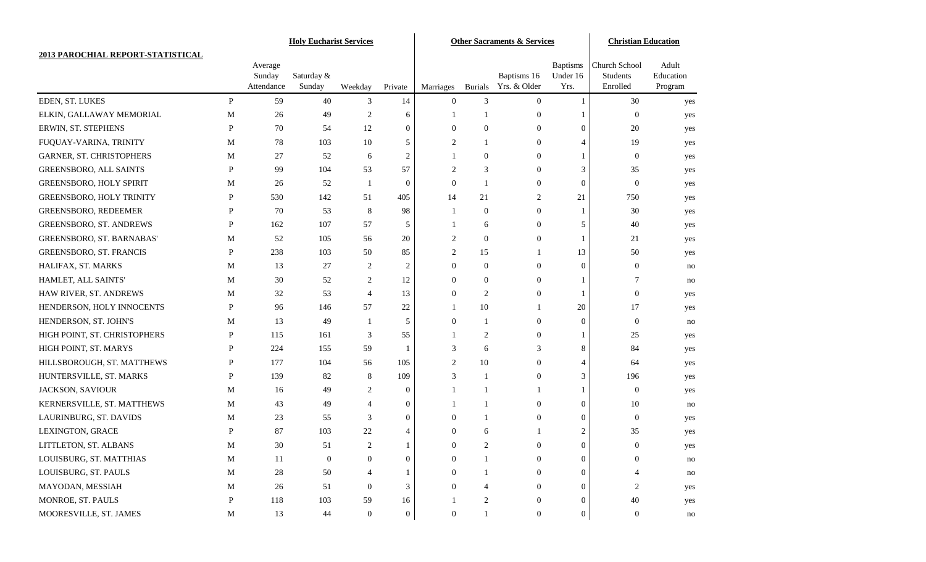|                                   |              |                      | <b>Holy Eucharist Services</b> |                  |                  | <b>Other Sacraments &amp; Services</b> |                |                             |                  | <b>Christian Education</b> |                      |
|-----------------------------------|--------------|----------------------|--------------------------------|------------------|------------------|----------------------------------------|----------------|-----------------------------|------------------|----------------------------|----------------------|
| 2013 PAROCHIAL REPORT-STATISTICAL |              |                      |                                |                  |                  |                                        |                |                             |                  |                            |                      |
|                                   |              | Average              |                                |                  |                  |                                        |                |                             | <b>Baptisms</b>  | <b>Church School</b>       | Adult                |
|                                   |              | Sunday<br>Attendance | Saturday &<br>Sunday           | Weekday          | Private          | Marriages                              | <b>Burials</b> | Baptisms 16<br>Yrs. & Older | Under 16<br>Yrs. | Students<br>Enrolled       | Education<br>Program |
| EDEN, ST. LUKES                   | P            | 59                   | 40                             | 3                | 14               | $\mathbf{0}$                           | 3              | $\overline{0}$              | 1                | 30                         | yes                  |
| ELKIN, GALLAWAY MEMORIAL          | M            | 26                   | 49                             | 2                | 6                | 1                                      |                | $\overline{0}$              | 1                | $\mathbf{0}$               | yes                  |
| ERWIN, ST. STEPHENS               | $\mathbf{P}$ | 70                   | 54                             | 12               | $\boldsymbol{0}$ | $\mathbf{0}$                           | $\overline{0}$ | $\overline{0}$              | $\mathbf{0}$     | 20                         | yes                  |
| FUQUAY-VARINA, TRINITY            | M            | 78                   | 103                            | 10               | 5                | $\overline{c}$                         |                | $\overline{0}$              | $\overline{4}$   | 19                         | yes                  |
| GARNER, ST. CHRISTOPHERS          | M            | 27                   | 52                             | 6                | $\overline{c}$   |                                        | $\overline{0}$ | $\overline{0}$              | 1                | $\mathbf{0}$               | yes                  |
| <b>GREENSBORO, ALL SAINTS</b>     | P            | 99                   | 104                            | 53               | 57               | $\overline{c}$                         | 3              | $\overline{0}$              | 3                | 35                         | yes                  |
| GREENSBORO, HOLY SPIRIT           | M            | 26                   | 52                             | -1               | $\theta$         | $\theta$                               | 1              | $\overline{0}$              | $\mathbf{0}$     | $\mathbf{0}$               | yes                  |
| GREENSBORO, HOLY TRINITY          | P            | 530                  | 142                            | 51               | 405              | 14                                     | 21             | 2                           | 21               | 750                        | yes                  |
| GREENSBORO, REDEEMER              | P            | 70                   | 53                             | 8                | 98               | 1                                      | $\overline{0}$ | $\overline{0}$              | 1                | 30                         | yes                  |
| GREENSBORO, ST. ANDREWS           | P            | 162                  | 107                            | 57               | 5                | 1                                      | 6              | $\overline{0}$              | 5                | 40                         | yes                  |
| GREENSBORO, ST. BARNABAS'         | M            | 52                   | 105                            | 56               | 20               | 2                                      | $\overline{0}$ | $\overline{0}$              | 1                | 21                         | yes                  |
| <b>GREENSBORO, ST. FRANCIS</b>    | P            | 238                  | 103                            | 50               | 85               | 2                                      | 15             | 1                           | 13               | 50                         | yes                  |
| HALIFAX, ST. MARKS                | M            | 13                   | 27                             | 2                | $\overline{c}$   | $\theta$                               | $\overline{0}$ | $\overline{0}$              | $\mathbf{0}$     | $\boldsymbol{0}$           | no                   |
| HAMLET, ALL SAINTS'               | M            | 30                   | 52                             | 2                | 12               | $\mathbf{0}$                           | $\overline{0}$ | $\overline{0}$              | 1                | 7                          | no                   |
| HAW RIVER, ST. ANDREWS            | M            | 32                   | 53                             | $\overline{4}$   | 13               | $\theta$                               | 2              | $\overline{0}$              | 1                | $\mathbf{0}$               | yes                  |
| HENDERSON, HOLY INNOCENTS         | P            | 96                   | 146                            | 57               | $22\,$           | 1                                      | 10             | 1                           | 20               | 17                         | yes                  |
| HENDERSON, ST. JOHN'S             | M            | 13                   | 49                             | -1               | 5                | $\theta$                               | 1              | $\overline{0}$              | $\mathbf{0}$     | $\boldsymbol{0}$           | no                   |
| HIGH POINT, ST. CHRISTOPHERS      | P            | 115                  | 161                            | 3                | 55               | 1                                      | 2              | $\overline{0}$              | 1                | 25                         | yes                  |
| HIGH POINT, ST. MARYS             | P            | 224                  | 155                            | 59               | -1               | 3                                      | 6              | 3                           | 8                | 84                         | yes                  |
| HILLSBOROUGH, ST. MATTHEWS        | P            | 177                  | 104                            | 56               | 105              | 2                                      | 10             | $\overline{0}$              | 4                | 64                         | yes                  |
| HUNTERSVILLE, ST. MARKS           | P            | 139                  | 82                             | 8                | 109              | 3                                      | 1              | $\overline{0}$              | 3                | 196                        | yes                  |
| JACKSON, SAVIOUR                  | M            | 16                   | 49                             | 2                | $\mathbf{0}$     | 1                                      |                | 1                           | 1                | $\mathbf{0}$               | yes                  |
| KERNERSVILLE, ST. MATTHEWS        | M            | 43                   | 49                             | $\overline{4}$   | $\boldsymbol{0}$ | 1                                      | 1              | $\overline{0}$              | $\overline{0}$   | 10                         | no                   |
| LAURINBURG, ST. DAVIDS            | M            | 23                   | 55                             | 3                | $\mathbf{0}$     | $\Omega$                               |                | $\overline{0}$              | $\mathbf{0}$     | $\mathbf{0}$               | yes                  |
| LEXINGTON, GRACE                  | P            | 87                   | 103                            | 22               | $\overline{4}$   | $\mathbf{0}$                           | 6              |                             | $\overline{c}$   | 35                         | yes                  |
| LITTLETON, ST. ALBANS             | M            | $30\,$               | 51                             | 2                |                  | $\Omega$                               | 2              | $\Omega$                    | $\Omega$         | $\Omega$                   | yes                  |
| LOUISBURG, ST. MATTHIAS           | $\mathbf M$  | 11                   | $\boldsymbol{0}$               | $\overline{0}$   | $\mathbf{0}$     | $\boldsymbol{0}$                       | 1              | $\boldsymbol{0}$            | $\boldsymbol{0}$ | $\boldsymbol{0}$           | no                   |
| LOUISBURG, ST. PAULS              | $\mathbf M$  | 28                   | 50                             | 4                |                  | $\overline{0}$                         |                | $\overline{0}$              | $\mathbf{0}$     |                            | no                   |
| MAYODAN, MESSIAH                  | $\mathbf M$  | 26                   | 51                             | $\boldsymbol{0}$ | 3                | $\overline{0}$                         |                | 0                           | $\overline{0}$   | 2                          | yes                  |
| MONROE, ST. PAULS                 | P            | 118                  | 103                            | 59               | 16               |                                        | 2              | 0                           | $\boldsymbol{0}$ | 40                         | yes                  |
| MOORESVILLE, ST. JAMES            | $\mathbf M$  | 13                   | 44                             | $\boldsymbol{0}$ | $\mathbf{0}$     | $\boldsymbol{0}$                       | $\mathbf{1}$   | 0                           | $\mathbf{0}$     | $\boldsymbol{0}$           | no                   |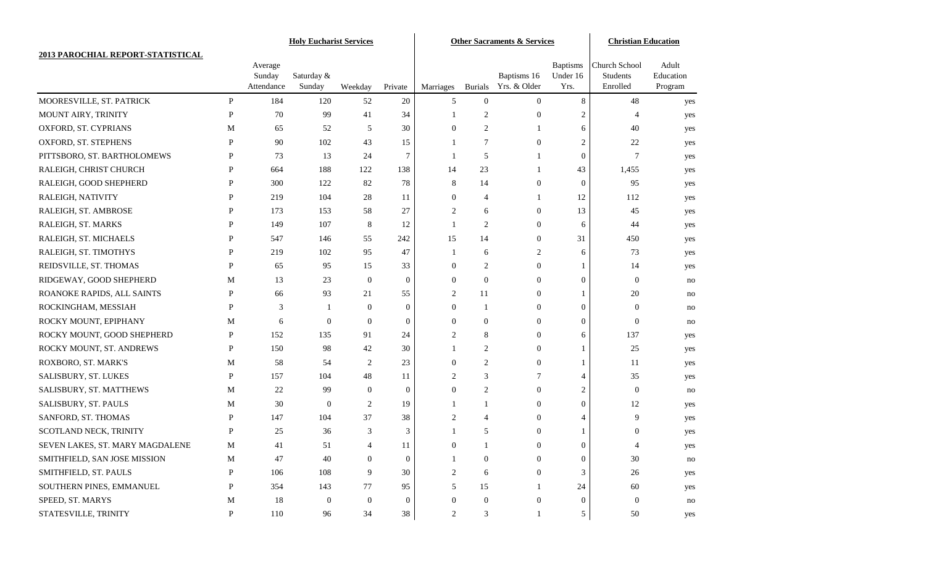|                                   | <b>Holy Eucharist Services</b> |                      |                      |                | <b>Other Sacraments &amp; Services</b> |                |                  |                             | <b>Christian Education</b>  |                                  |                      |
|-----------------------------------|--------------------------------|----------------------|----------------------|----------------|----------------------------------------|----------------|------------------|-----------------------------|-----------------------------|----------------------------------|----------------------|
| 2013 PAROCHIAL REPORT-STATISTICAL |                                |                      |                      |                |                                        |                |                  |                             |                             |                                  |                      |
|                                   |                                | Average              |                      |                |                                        |                |                  |                             | <b>Baptisms</b><br>Under 16 | <b>Church School</b><br>Students | Adult                |
|                                   |                                | Sunday<br>Attendance | Saturday &<br>Sunday | Weekday        | Private                                | Marriages      | <b>Burials</b>   | Baptisms 16<br>Yrs. & Older | Yrs.                        | Enrolled                         | Education<br>Program |
| MOORESVILLE, ST. PATRICK          | P                              | 184                  | 120                  | 52             | 20                                     | 5              | $\overline{0}$   | $\overline{0}$              | 8                           | 48                               | yes                  |
| MOUNT AIRY, TRINITY               | $\mathbf{P}$                   | 70                   | 99                   | 41             | 34                                     | 1              | $\overline{c}$   | $\overline{0}$              | $\overline{c}$              | $\overline{4}$                   | yes                  |
| OXFORD, ST. CYPRIANS              | M                              | 65                   | 52                   | 5              | 30                                     | $\mathbf{0}$   | $\overline{c}$   |                             | 6                           | 40                               | yes                  |
| OXFORD, ST. STEPHENS              | P                              | 90                   | 102                  | 43             | 15                                     | -1             | 7                | $\overline{0}$              | $\overline{c}$              | $22\,$                           | yes                  |
| PITTSBORO, ST. BARTHOLOMEWS       | P                              | 73                   | 13                   | 24             | 7                                      | 1              | 5                |                             | $\mathbf{0}$                | $\tau$                           | yes                  |
| RALEIGH, CHRIST CHURCH            | P                              | 664                  | 188                  | 122            | 138                                    | 14             | 23               |                             | 43                          | 1,455                            | yes                  |
| RALEIGH, GOOD SHEPHERD            | P                              | 300                  | 122                  | 82             | 78                                     | 8              | 14               | $\overline{0}$              | $\boldsymbol{0}$            | 95                               | yes                  |
| RALEIGH, NATIVITY                 | P                              | 219                  | 104                  | 28             | 11                                     | $\mathbf{0}$   | 4                |                             | 12                          | 112                              | yes                  |
| RALEIGH, ST. AMBROSE              | P                              | 173                  | 153                  | 58             | 27                                     | $\overline{c}$ | 6                | $\overline{0}$              | 13                          | 45                               | yes                  |
| RALEIGH, ST. MARKS                | P                              | 149                  | 107                  | 8              | 12                                     | 1              | 2                | $\overline{0}$              | 6                           | 44                               | yes                  |
| RALEIGH, ST. MICHAELS             | P                              | 547                  | 146                  | 55             | 242                                    | 15             | 14               | $\overline{0}$              | 31                          | 450                              | yes                  |
| RALEIGH, ST. TIMOTHYS             | P                              | 219                  | 102                  | 95             | 47                                     | 1              | 6                | 2                           | 6                           | 73                               | yes                  |
| REIDSVILLE, ST. THOMAS            | P                              | 65                   | 95                   | 15             | 33                                     | $\mathbf{0}$   | $\overline{c}$   | $\overline{0}$              | 1                           | 14                               | yes                  |
| RIDGEWAY, GOOD SHEPHERD           | M                              | 13                   | 23                   | $\overline{0}$ | $\mathbf{0}$                           | $\mathbf{0}$   | $\overline{0}$   | $\overline{0}$              | $\mathbf{0}$                | $\mathbf{0}$                     | no                   |
| ROANOKE RAPIDS, ALL SAINTS        | P                              | 66                   | 93                   | 21             | 55                                     | 2              | 11               | $\overline{0}$              | 1                           | 20                               | no                   |
| ROCKINGHAM, MESSIAH               | P                              | 3                    | -1                   | $\Omega$       | $\mathbf{0}$                           | $\mathbf{0}$   |                  | $\overline{0}$              | $\theta$                    | $\mathbf{0}$                     | no                   |
| ROCKY MOUNT, EPIPHANY             | M                              | 6                    | $\boldsymbol{0}$     | $\overline{0}$ | $\mathbf{0}$                           | $\mathbf{0}$   | $\overline{0}$   | $\overline{0}$              | $\overline{0}$              | $\mathbf{0}$                     | no                   |
| ROCKY MOUNT, GOOD SHEPHERD        | P                              | 152                  | 135                  | 91             | 24                                     | $\overline{c}$ | 8                | $\overline{0}$              | 6                           | 137                              | yes                  |
| ROCKY MOUNT, ST. ANDREWS          | P                              | 150                  | 98                   | 42             | 30                                     | 1              | $\overline{c}$   | $\overline{0}$              | 1                           | 25                               | yes                  |
| ROXBORO, ST. MARK'S               | M                              | 58                   | 54                   | $\overline{2}$ | 23                                     | $\mathbf{0}$   | $\overline{2}$   | $\overline{0}$              | 1                           | 11                               | yes                  |
| SALISBURY, ST. LUKES              | $\mathbf{P}$                   | 157                  | 104                  | 48             | 11                                     | $\overline{c}$ | 3                | 7                           | $\overline{4}$              | 35                               | yes                  |
| SALISBURY, ST. MATTHEWS           | M                              | 22                   | 99                   | $\theta$       | $\theta$                               | $\theta$       | $\overline{2}$   | $\overline{0}$              | $\overline{c}$              | $\mathbf{0}$                     | no                   |
| SALISBURY, ST. PAULS              | M                              | 30                   | $\theta$             | 2              | 19                                     | 1              | 1                | $\overline{0}$              | $\overline{0}$              | 12                               | yes                  |
| SANFORD, ST. THOMAS               | P                              | 147                  | 104                  | 37             | 38                                     | 2              | 4                | $\overline{0}$              | 4                           | 9                                | yes                  |
| SCOTLAND NECK, TRINITY            | $\mathbf{P}$                   | 25                   | 36                   | 3              | 3                                      |                | 5                | $\mathbf{0}$                |                             | 0                                | yes                  |
| SEVEN LAKES, ST. MARY MAGDALENE   | M                              | 41                   | 51                   | $\overline{4}$ | 11                                     | $\Omega$       |                  | $\Omega$                    | $\Omega$                    | $\overline{4}$                   | yes                  |
| SMITHFIELD, SAN JOSE MISSION      | $\mathbf M$                    | 47                   | 40                   | $\overline{0}$ | $\boldsymbol{0}$                       | 1              | $\mathbf{0}$     | $\boldsymbol{0}$            | $\boldsymbol{0}$            | $30\,$                           | no                   |
| SMITHFIELD, ST. PAULS             | P                              | 106                  | 108                  | 9              | 30                                     | 2              | 6                | $\overline{0}$              | 3                           | 26                               | yes                  |
| SOUTHERN PINES, EMMANUEL          | P                              | 354                  | 143                  | 77             | 95                                     | 5              | 15               |                             | 24                          | 60                               | yes                  |
| SPEED, ST. MARYS                  | $\mathbf M$                    | 18                   | $\boldsymbol{0}$     | $\theta$       | $\overline{0}$                         | $\mathbf{0}$   | $\boldsymbol{0}$ | 0                           | $\boldsymbol{0}$            | $\mathbf{0}$                     | no                   |
| STATESVILLE, TRINITY              | P                              | 110                  | 96                   | 34             | 38                                     | 2              | 3                |                             | 5                           | 50                               | yes                  |